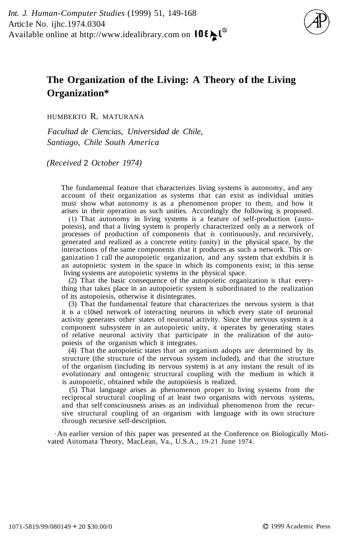*Int.* J. *Human-Computer Studies* (1999) 51, 149-168 Artic1e No. ijhc.1974.0304 Available online at http://www.idealibrary.com on  $\mathbf{10} \xi \geq \mathbf{1}^{\circledcirc}$ 



# **The Organization of the Living: A Theory of the Living Organization\***

HUMBERTO R. MATURANA

*Facultad de Ciencias, Universidad de Chile, Santiago, Chile South America*

*(Received* 2 *October 1974)*

The fundamental feature that characterizes living systems is autonomy, and any account of their organization as systems that can exist as individual unities must show what autonomy is as a phenomenon proper to them, and how it arises in their operation as such unities. Accordingly the following is proposed.

(1) That autonomy in living systems is a feature of self-production (autopoiesis), and that a living system is properly characterized only as a network of processes of production of components that is continuously, and recursively, generated and realized as a concrete entity (unity) in the physical space, by the interactions of the same components that it produces as such a network. This organization 1 call the autopoietic organization, and any system that exhibits it is an autopoietic system in the space in which its components exist; in this sense living systems are autopoietic systems in the physical space.

(2) That the basic consequence of the autopoietic organization is that everything that takes place in an autopoietic system is subordinated to the realization of its autopoiesis, otherwise it disintegrates.

(3) That the fundamental feature that characterizes the nervous system is that it is a c10sed network of interacting neurons in which every state of neuronal activity generates other states of neuronal activity. Since the nervous system is a component subsystem in an autopoietic unity, it operates by generating states of relative neuronal activity that participate in the realization of the autopoiesis of the organism which it integrates.

(4) That the autopoietic states that an organism adopts are determined by its structure (the structure of the nervous system included), and that the structure of the organism (including its nervous system) is at any instant the result of its evolutionary and ontogenic structural coupling with the medium in which it is autopoietic, obtained while the autopoiesis is realized.

(5) That language arises as phenomenon proper to living systems from the reciprocal structural coupling of at least two organisms with nervous systems, and that self·consciousness arises as an individual phenomenon from the recursive structural coupling of an organism with language with its own structure through recursive self-description.

·An earlier version of this paper was presented at the Conference on Biologically Motivated Automata Theory, MacLean, Va., U.S.A., 19-21 June 1974.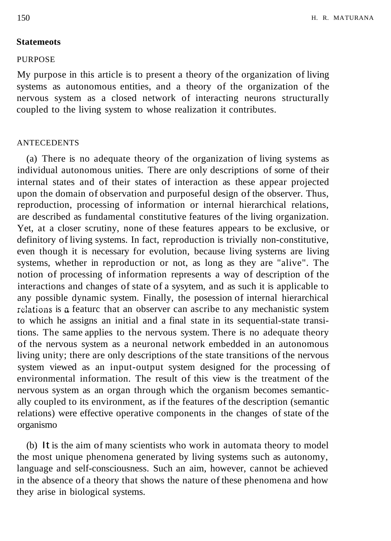H. R. MATURANA

## **Statemeots**

PURPOSE

My purpose in this article is to present a theory of the organization of living systems as autonomous entities, and a theory of the organization of the nervous system as a closed network of interacting neurons structurally coupled to the living system to whose realization it contributes.

### **ANTECEDENTS**

(a) There is no adequate theory of the organization of living systems as individual autonomous unities. There are only descriptions of sorne of their internal states and of their states of interaction as these appear projected upon the domain of observation and purposeful design of the observer. Thus, reproduction, processing of information or internal hierarchical relations, are described as fundamental constitutive features of the living organization. Yet, at a closer scrutiny, none of these features appears to be exclusive, or definitory of living systems. In fact, reproduction is trivially non-constitutive, even though it is necessary for evolution, because living systerns are living systems, whether in reproduction or not, as long as they are "alive". The notion of processing of information represents a way of description of the interactions and changes of state of a sysytem, and as such it is applicable to any possible dynamic system. Finally, the posession of internal hierarchical relations is a feature that an observer can ascribe to any mechanistic system to which he assigns an initial and a final state in its sequential-state transitions. The same applies to the nervous system. There is no adequate theory of the nervous system as a neuronal network embedded in an autonomous living unity; there are only descriptions of the state transitions of the nervous system viewed as an input-output system designed for the processing of environmental information. The result of this view is the treatment of the nervous system as an organ through which the organism becomes semantically coupled to its environment, as if the features of the description (semantic relations) were effective operative components in the changes of state of the organismo

(b) It is the aim of many scientists who work in automata theory to model the most unique phenomena generated by living systems such as autonomy, language and self-consciousness. Such an aim, however, cannot be achieved in the absence of a theory that shows the nature of these phenomena and how they arise in biological systems.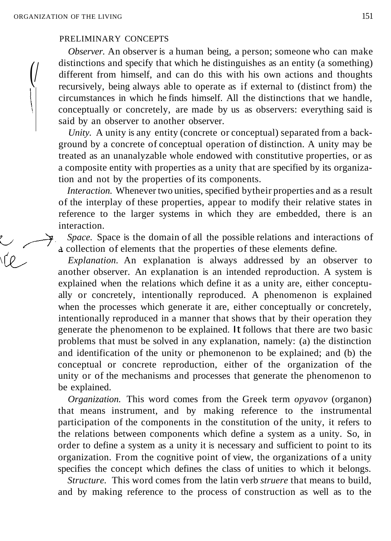### PRELIMINARY CONCEPTS

*Observer.* An observer is a human being, a person; someone who can make distinctions and specify that which he distinguishes as an entity (a something) different from himself, and can do this with his own actions and thoughts recursively, being always able to operate as if external to (distinct from) the circumstances in which he finds himself. All the distinctions that we handle, conceptually or concretely, are made by us as observers: everything said is said by an observer to another observer.

*Unity.* A unity is any entity (concrete or conceptual) separated from a background by a concrete of conceptual operation of distinction. A unity may be treated as an unanalyzable whole endowed with constitutive properties, or as a composite entity with properties as a unity that are specified by its organization and not by the properties of its components.

*Interaction.* Whenever two unities, specified bytheir properties and as a result of the interplay of these properties, appear to modify their relative states in reference to the larger systems in which they are embedded, there is an interaction.

Space. Space is the domain of all the possible relations and interactions of a collection of elements that the properties of these elements define.

*Explanation.* An explanation is always addressed by an observer to another observer. An explanation is an intended reproduction. A system is explained when the relations which define it as a unity are, either conceptually or concretely, intentionally reproduced. A phenomenon is explained when the processes which generate it are, either conceptually or concretely, intentionally reproduced in a manner that shows that by their operation they generate the phenomenon to be explained. It follows that there are two basic problems that must be solved in any explanation, namely: (a) the distinction and identification of the unity or phemonenon to be explained; and (b) the conceptual or concrete reproduction, either of the organization of the unity or of the mechanisms and processes that generate the phenomenon to be explained.

*Organization.* This word comes from the Greek term *opyavov* (organon) that means instrument, and by making reference to the instrumental participation of the components in the constitution of the unity, it refers to the relations between components which define a system as a unity. So, in order to define a system as a unity it is necessary and sufficient to point to its organization. From the cognitive point of view, the organizations of a unity specifies the concept which defines the class of unities to which it belongs.

*Structure.* This word comes from the latin verb *struere* that means to build, and by making reference to the process of construction as well as to the

(/

 $\setminus$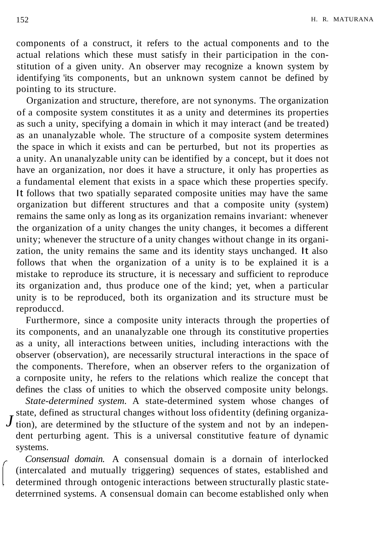components of a construct, it refers to the actual components and to the actual relations which these must satisfy in their participation in the constitution of a given unity. An observer may recognize a known system by identifying 'its components, but an unknown system cannot be defined by pointing to its structure.

Organization and structure, therefore, are not synonyms. The organization of a composite system constitutes it as a unity and determines its properties as such a unity, specifying a domain in which it may interact (and be treated) as an unanalyzable whole. The structure of a composite system determines the space in which it exists and can be perturbed, but not its properties as a unity. An unanalyzable unity can be identified by a concept, but it does not have an organization, nor does it have a structure, it only has properties as a fundamental element that exists in a space which these properties specify. It follows that two spatially separated composite unities may have the same organization but different structures and that a composite unity (system) remains the same only as long as its organization remains invariant: whenever the organization of a unity changes the unity changes, it becomes a different unity; whenever the structure of a unity changes without change in its organization, the unity remains the same and its identity stays unchanged. It also follows that when the organization of a unity is to be explained it is a mistake to reproduce its structure, it is necessary and sufficient to reproduce its organization and, thus produce one of the kind; yet, when a particular unity is to be reproduced, both its organization and its structure must be reproduccd.

Furthermore, since a composite unity interacts through the properties of its components, and an unanalyzable one through its constitutive properties as a unity, all interactions between unities, including interactions with the observer (observation), are necessarily structural interactions in the space of the components. Therefore, when an observer refers to the organization of a cornposite unity, he refers to the relations which realize the concept that defines the c1ass of unities to which the observed composite unity belongs.

*J* state, defined as structural enanges whilout loss officially (defining organization), are determined by the stIucture of the system and not by an indepen-*State-determined system.* A state-determined system whose changes of state, defined as structural changes without loss ofidentity (defining organizadent perturbing agent. This is a universal constitutive feature of dynamic systems.

Consensual domain. A consensual domain is a dornain of interlocked<br>(intercalated and mutually triggering) sequences of states, established and<br>determined through ontogenic interactions between structurally plastic state-<br>d deterrnined systems. A consensual domain can become established only when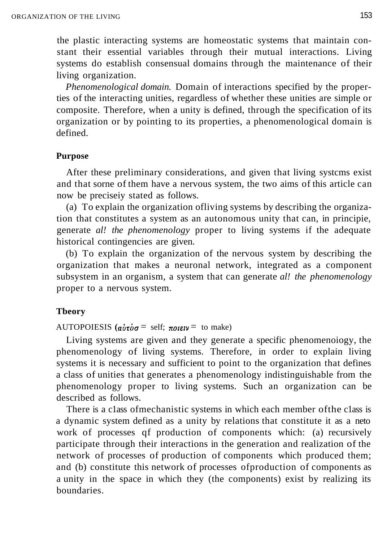the plastic interacting systems are homeostatic systems that maintain constant their essential variables through their mutual interactions. Living systems do establish consensual domains through the maintenance of their living organization.

*Phenomenological domain.* Domain of interactions specified by the properties of the interacting unities, regardless of whether these unities are simple or composite. Therefore, when a unity is defined, through the specification of its organization or by pointing to its properties, a phenomenological domain is defined.

# **Purpose**

After these preliminary considerations, and given that living systcms exist and that sorne of them have a nervous system, the two aims of this article can now be preciseiy stated as follows.

(a) To explain the organization ofliving systems by describing the organization that constitutes a system as an autonomous unity that can, in principie, generate *al! the phenomenology* proper to living systems if the adequate historical contingencies are given.

(b) To explain the organization of the nervous system by describing the organization that makes a neuronal network, integrated as a component subsystem in an organism, a system that can generate *al! the phenomenology* proper to a nervous system.

# **Tbeory**

AUTOPOIESIS ( $a\dot{v}\dot{\tau}\dot{\phi}\sigma$  = self;  $\pi \rho \epsilon \dot{\epsilon}v$  = to make)

Living systems are given and they generate a specific phenomenoiogy, the phenomenology of living systems. Therefore, in order to explain living systems it is necessary and sufficient to point to the organization that defines a class of unities that generates a phenomenology indistinguishable from the phenomenology proper to living systems. Such an organization can be described as follows.

There is a c1ass ofmechanistic systems in which each member ofthe c1ass is a dynamic system defined as a unity by relations that constitute it as a neto work of processes af production of components which: (a) recursively participate through their interactions in the generation and realization of the network of processes of production of components which produced them; and (b) constitute this network of processes ofproduction of components as a unity in the space in which they (the components) exist by realizing its boundaries.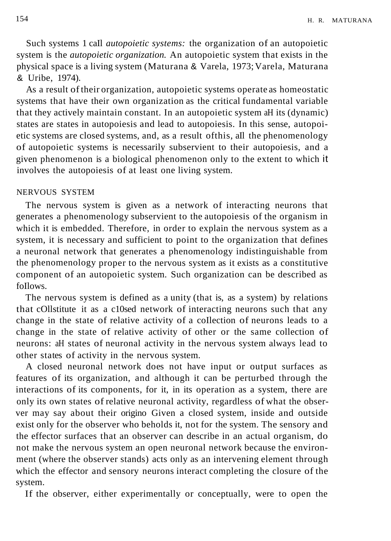Such systems 1 caIl *autopoietic systems:* the organization of an autopoietic system is the *autopoietic organization.* An autopoietic system that exists in the physical space is a living system (Maturana & Varela, 1973;Varela, Maturana & Uribe, 1974).

As a result oftheir organization, autopoietic systems operate as homeostatic systems that have their own organization as the critical fundamental variable that they actively maintain constant. In an autopoietic system aH its (dynamic) states are states in autopoiesis and lead to autopoiesis. In this sense, autopoietic systems are closed systems, and, as a result ofthis, aIl the phenomenology of autopoietic systems is necessarily subservient to their autopoiesis, and a given phenomenon is a biological phenomenon only to the extent to which it involves the autopoiesis of at least one living system.

### NERVOUS SYSTEM

The nervous system is given as a network of interacting neurons that generates a phenomenology subservient to the autopoiesis of the organism in which it is embedded. Therefore, in order to explain the nervous system as a system, it is necessary and sufficient to point to the organization that defines a neuronal network that generates a phenomenology indistinguishable from the phenomenology proper to the nervous system as it exists as a constitutive component of an autopoietic system. Such organization can be described as foIlows.

The nervous system is defined as a unity (that is, as a system) by relations that cOllstitute it as a c10sed network of interacting neurons such that any change in the state of relative activity of a coIlection of neurons leads to a change in the state of relative activity of other or the same collection of neurons: aH states of neuronal activity in the nervous system always lead to other states of activity in the nervous system.

A closed neuronal network does not have input or output surfaces as features of its organization, and although it can be perturbed through the interactions of its components, for it, in its operation as a system, there are only its own states of relative neuronal activity, regardless of what the observer may say about their origino Given a closed system, inside and outside exist only for the observer who beholds it, not for the system. The sensory and the effector surfaces that an observer can describe in an actual organism, do not make the nervous system an open neuronal network because the environment (where the observer stands) acts only as an intervening element through which the effector and sensory neurons interact completing the closure of the system.

If the observer, either experimentally or conceptually, were to open the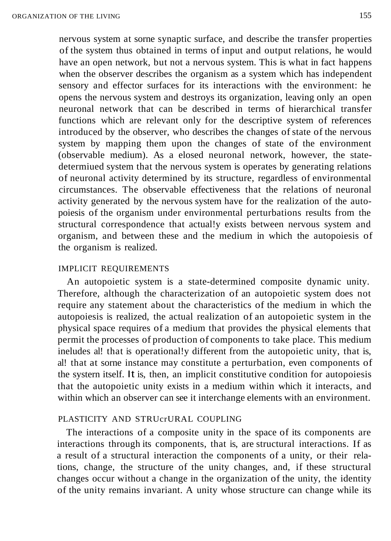nervous system at sorne synaptic surface, and describe the transfer properties of the system thus obtained in terms of input and output relations, he would have an open network, but not a nervous system. This is what in fact happens when the observer describes the organism as a system which has independent sensory and effector surfaces for its interactions with the environment: he opens the nervous system and destroys its organization, leaving only an open neuronal network that can be described in terms of hierarchical transfer functions which are relevant only for the descriptive system of references introduced by the observer, who describes the changes of state of the nervous system by mapping them upon the changes of state of the environment (observable medium). As a elosed neuronal network, however, the statedetermiued system that the nervous system is operates by generating relations of neuronal activity determined by its structure, regardless of environmental circumstances. The observable effectiveness that the relations of neuronal activity generated by the nervous system have for the realization of the autopoiesis of the organism under environmental perturbations results from the structural correspondence that actual!y exists between nervous system and organism, and between these and the medium in which the autopoiesis of the organism is realized.

### IMPLICIT REQUIREMENTS

An autopoietic system is a state-determined composite dynamic unity. Therefore, although the characterization of an autopoietic system does not require any statement about the characteristics of the medium in which the autopoiesis is realized, the actual realization of an autopoietic system in the physical space requires of a medium that provides the physical elements that permit the processes of production of components to take place. This medium ineludes al! that is operational!y different from the autopoietic unity, that is, al! that at sorne instance may constitute a perturbation, even components of the systern itself. It is, then, an implicit constitutive condition for autopoiesis that the autopoietic unity exists in a medium within which it interacts, and within which an observer can see it interchange elements with an environment.

# PLASTICITY AND STRUcrURAL COUPLING

The interactions of a composite unity in the space of its components are interactions through its components, that is, are structural interactions. If as a result of a structural interaction the components of a unity, or their relations, change, the structure of the unity changes, and, if these structural changes occur without a change in the organization of the unity, the identity of the unity remains invariant. A unity whose structure can change while its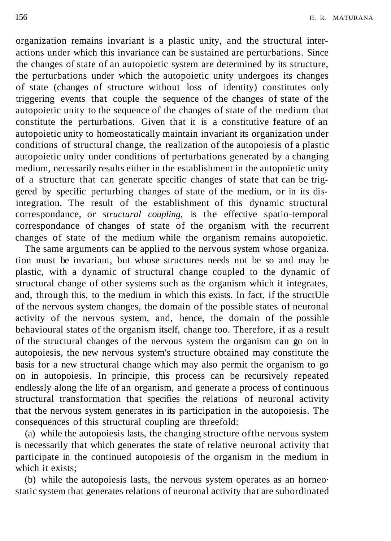organization remains invariant is a plastic unity, and the structural interactions under which this invariance can be sustained are perturbations. Since the changes of state of an autopoietic system are determined by its structure, the perturbations under which the autopoietic unity undergoes its changes of state (changes of structure without loss of identity) constitutes only triggering events that couple the sequence of the changes of state of the autopoietic unity to the sequence of the changes of state of the medium that constitute the perturbations. Given that it is a constitutive feature of an autopoietic unity to homeostatically maintain invariant its organization under conditions of structural change, the realization of the autopoiesis of a plastic autopoietic unity under conditions of perturbations generated by a changing medium, necessarily results either in the establishment in the autopoietic unity of a structure that can generate specific changes of state that can be triggered by specific perturbing changes of state of the medium, or in its disintegration. The result of the establishment of this dynamic structural correspondance, or *structural coupling,* is the effective spatio-temporal correspondance of changes of state of the organism with the recurrent changes of state of the medium while the organism remains autopoietic.

The same arguments can be applied to the nervous system whose organiza. tion must be invariant, but whose structures needs not be so and may be plastic, with a dynamic of structural change coupled to the dynamic of structural change of other systems such as the organism which it integrates, and, through this, to the medium in which this exists. In fact, if the structUle of the nervous system changes, the domain of the possible states of neuronal activity of the nervous system, and, hence, the domain of the possible behavioural states of the organism itself, change too. Therefore, if as a result of the structural changes of the nervous system the organism can go on in autopoiesis, the new nervous system's structure obtained may constitute the basis for a new structural change which may also permit the organism to go on in autopoiesis. In principie, this process can be recursively repeated endlessly along the life of an organism, and generate a process of continuous structural transformation that specifies the relations of neuronal activity that the nervous system generates in its participation in the autopoiesis. The consequences of this structural coupling are threefold:

(a) while the autopoiesis lasts, the changing structure ofthe nervous system is necessarily that which generates the state of relative neuronal activity that participate in the continued autopoiesis of the organism in the medium in which it exists;

(b) while the autopoiesis lasts, the nervous system operates as an horneo· static system that generates relations of neuronal activity that are subordinated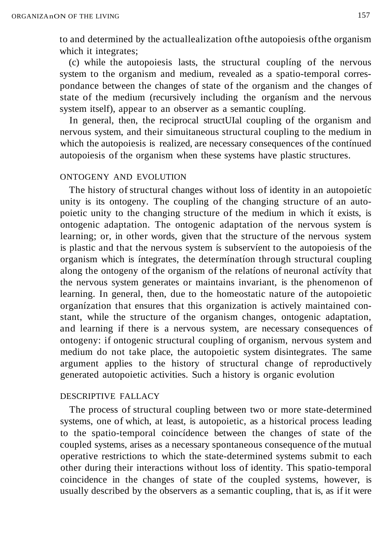to and determined by the actuallealization ofthe autopoiesis ofthe organism which it integrates;

(c) while the autopoiesis lasts, the structural couplíng of the nervous system to the organism and medium, revealed as a spatio-temporal correspondance between the changes of state of the organism and the changes of state of the medium (recursively including the organísm and the nervous system itself), appear to an observer as a semantic couplíng.

In general, then, the reciprocal structUIal coupling of the organism and nervous system, and their simuitaneous structural coupling to the medium in which the autopoiesis is realized, are necessary consequences of the contínued autopoiesis of the organism when these systems have plastic structures.

### ONTOGENY AND EVOLUTION

The history of structural changes without loss of identity in an autopoietic unity is its ontogeny. The coupling of the changing structure of an autopoietic unity to the changing structure of the medium in which ít exists, is ontogenic adaptation. The ontogenic adaptation of the nervous system ís learning; or, in other words, given that the structure of the nervous system is plastic and that the nervous system ís subservíent to the autopoiesis of the organism which is íntegrates, the determínatíon through structural coupling along the ontogeny of the organism of the relatíons of neuronal actívíty that the nervous system generates or maintains invariant, is the phenomenon of learning. In general, then, due to the homeostatic nature of the autopoietic organízation that ensures that this organization is actively maintained constant, while the structure of the organism changes, ontogenic adaptation, and learning if there is a nervous system, are necessary consequences of ontogeny: if ontogenic structural coupling of organism, nervous system and medium do not take place, the autopoietic system disintegrates. The same argument applies to the history of structural change of reproductively generated autopoietic activities. Such a history is organic evolution

### DESCRIPTIVE FALLACY

The process of structural coupling between two or more state-determined systems, one of which, at least, is autopoietic, as a historical process leading to the spatio-temporal coincídence between the changes of state of the coupled systems, arises as a necessary spontaneous consequence of the mutual operative restrictions to which the state-determined systems submit to each other during their interactions without loss of identity. This spatio-temporal coincidence in the changes of state of the coupled systems, however, is usually described by the observers as a semantic coupling, that is, as if it were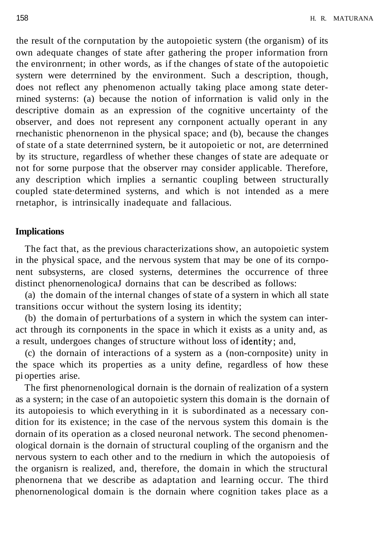the result of the cornputation by the autopoietic systern (the organism) of its own adequate changes of state after gathering the proper information frorn the environrnent; in other words, as if the changes ofstate of the autopoietic systern were deterrnined by the environment. Such a description, though, does not reflect any phenomenon actually taking place among state deterrnined systerns: (a) because the notion of inforrnation is valid only in the descriptive domain as an expression of the cognitive uncertainty of the observer, and does not represent any cornponent actually operant in any rnechanistic phenornenon in the physical space; and (b), because the changes of state of a state deterrnined systern, be it autopoietic or not, are deterrnined by its structure, regardless of whether these changes of state are adequate or not for sorne purpose that the observer rnay consider applicable. Therefore, any description which irnplies a sernantic coupling between structurally coupled state·determined systerns, and which is not intended as a mere rnetaphor, is intrinsically inadequate and fallacious.

### **Implications**

The fact that, as the previous characterizations show, an autopoietic system in the physical space, and the nervous system that may be one of its cornponent subsysterns, are closed systerns, determines the occurrence of three distinct phenornenologicaJ dornains that can be described as follows:

(a) the domain of the internal changes of state of a system in which all state transitions occur without the systern losing its identity;

(b) the domain of perturbations of a systern in which the system can interact through its cornponents in the space in which it exists as a unity and, as a result, undergoes changes of structure without loss of identity; and,

(c) the dornain of interactions of a systern as a (non-cornposite) unity in the space which its properties as a unity define, regardless of how these pi operties arise.

The first phenornenological dornain is the dornain of realization of a systern as a systern; in the case of an autopoietic systern this domain is the dornain of its autopoiesis to which everything in it is subordinated as a necessary condition for its existence; in the case of the nervous system this domain is the dornain of its operation as a closed neuronal network. The second phenomenological dornain is the dornain of structural coupling of the organisrn and the nervous systern to each other and to the rnediurn in which the autopoiesis of the organisrn is realized, and, therefore, the domain in which the structural phenornena that we describe as adaptation and learning occur. The third phenornenological domain is the dornain where cognition takes place as a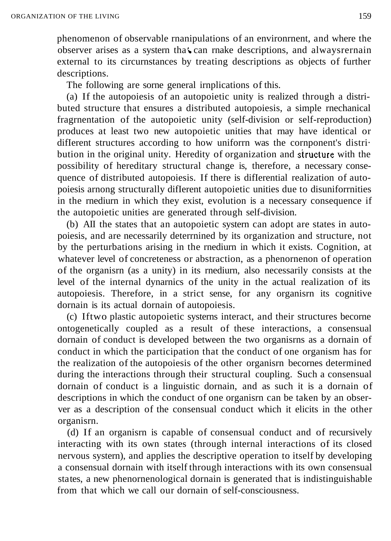phenomenon of observable rnanipulations of an environrnent, and where the observer arises as a system tha<sup>t</sup> can rnake descriptions, and alwaysrernain external to its circurnstances by treating descriptions as objects of further descriptions.

The following are sorne general irnplications of this.

(a) If the autopoiesis of an autopoietic unity is realized through a distributed structure that ensures a distributed autopoiesis, a simple rnechanical fragrnentation of the autopoietic unity (self-division or self-reproduction) produces at least two new autopoietic unities that rnay have identical or different structures according to how uniform was the cornponent's distribution in the original unity. Heredity of organization and sÍfucture with the possibility of hereditary structural change is, therefore, a necessary consequence of distributed autopoiesis. If there is difIerential realization of autopoiesis arnong structurally difIerent autopoietic unities due to disuniforrnities in the rnediurn in which they exist, evolution is a necessary consequence if the autopoietic unities are generated through self-division.

(b) AII the states that an autopoietic systern can adopt are states in autopoiesis, and are necessarily deterrnined by its organization and structure, not by the perturbations arising in the rnediurn in which it exists. Cognition, at whatever level of concreteness or abstraction, as a phenornenon of operation of the organisrn (as a unity) in its rnediurn, also necessarily consists at the level of the internal dynarnics of the unity in the actual realization of its autopoiesis. Therefore, in a strict sense, for any organisrn its cognitive dornain is its actual dornain of autopoiesis.

(c) Iftwo plastic autopoietic systerns interact, and their structures becorne ontogenetically coupled as a result of these interactions, a consensual dornain of conduct is developed between the two organisrns as a dornain of conduct in which the participation that the conduct of one organism has for the realization of the autopoiesis of the other organisrn becornes determined during the interactions through their structural coupling. Such a consensual dornain of conduct is a linguistic dornain, and as such it is a dornain of descriptions in which the conduct of one organisrn can be taken by an observer as a description of the consensual conduct which it elicits in the other organisrn.

(d) If an organisrn is capable of consensual conduct and of recursively interacting with its own states (through internal interactions of its closed nervous systern), and applies the descriptive operation to itself by developing a consensual dornain with itself through interactions with its own consensual states, a new phenornenological dornain is generated that is indistinguishable from that which we call our dornain of self-consciousness.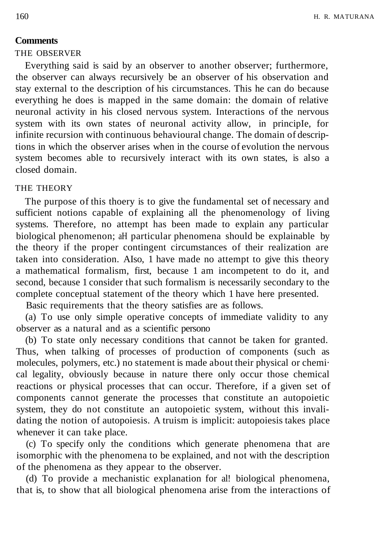# **Comments**

### THE OBSERVER

Everything said is said by an observer to another observer; furthermore, the observer can always recursively be an observer of his observation and stay external to the description of his circumstances. This he can do because everything he does is mapped in the same domain: the domain of relative neuronal activity in his closed nervous system. Interactions of the nervous system with its own states of neuronal activity allow, in principIe, for infinite recursion with continuous behavioural change. The domain of descriptions in which the observer arises when in the course of evolution the nervous system becomes able to recursively interact with its own states, is also a closed domain.

### THE THEORY

The purpose of this thoery is to give the fundamental set of necessary and sufficient notions capable of explaining all the phenomenology of living systems. Therefore, no attempt has been made to explain any particular biological phenomenon; aH particular phenomena should be explainable by the theory if the proper contingent circumstances of their realization are taken into consideration. AIso, 1 have made no attempt to give this theory a mathematical formalism, first, because 1 am incompetent to do it, and second, because 1 consider that such formalism is necessarily secondary to the complete conceptual statement of the theory which 1 have here presented.

Basic requirements that the theory satisfies are as follows.

(a) To use only simple operative concepts of immediate validity to any observer as a natural and as a scientific persono

(b) To state only necessary conditions that cannot be taken for granted. Thus, when talking of processes of production of components (such as molecules, polymers, etc.) no statement is made about their physical or chemi· cal legality, obviously because in nature there only occur those chemical reactions or physical processes that can occur. Therefore, if a given set of components cannot generate the processes that constitute an autopoietic system, they do not constitute an autopoietic system, without this invalidating the notion of autopoiesis. A truism is implicit: autopoiesis takes place whenever it can take place.

(c) To specify only the conditions which generate phenomena that are isomorphic with the phenomena to be explained, and not with the description of the phenomena as they appear to the observer.

(d) To provide a mechanistic explanation for al! biological phenomena, that is, to show that all biological phenomena arise from the interactions of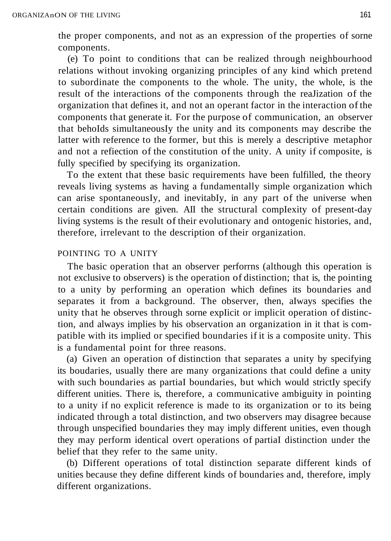the proper components, and not as an expression of the properties of sorne components.

(e) To point to conditions that can be realized through neighbourhood relations without invoking organizing principIes of any kind which pretend to subordinate the components to the whole. The unity, the whole, is the result of the interactions of the components through the reaJization of the organization that defines it, and not an operant factor in the interaction of the components that generate it. For the purpose of communication, an observer that behoIds simultaneousIy the unity and its components may describe the latter with reference to the former, but this is merely a descriptive metaphor and not a refiection of the constitution of the unity. A unity if composite, is fully specified by specifying its organization.

To the extent that these basic requirements have been fulfilled, the theory reveals living systems as having a fundamentally simple organization which can arise spontaneousIy, and inevitabIy, in any part of the universe when certain conditions are given. AII the structural compIexity of present-day living systems is the result of their evolutionary and ontogenic histories, and, therefore, irrelevant to the description of their organization.

## POINTING TO A UNITY

The basic operation that an observer perforrns (although this operation is not exclusive to observers) is the operation of distinction; that is, the pointing to a unity by performing an operation which defines its boundaries and separates it from a background. The observer, then, aIways specifies the unity that he observes through sorne expIicit or implicit operation of distinction, and always implies by his observation an organization in it that is compatible with its implied or specified boundaries if it is a composite unity. This is a fundamental point for three reasons.

(a) Given an operation of distinction that separates a unity by specifying its boudaries, usually there are many organizations that could define a unity with such boundaries as partiaI boundaries, but which would strictIy specify different unities. There is, therefore, a communicative ambiguity in pointing to a unity if no explicit reference is made to its organization or to its being indicated through a total distinction, and two observers may disagree because through unspecified boundaries they may imply different unities, even though they may perform identical overt operations of partiaI distinction under the belief that they refer to the same unity.

(b) Different operations of total distinction separate different kinds of unities because they define different kinds of boundaries and, therefore, imply different organizations.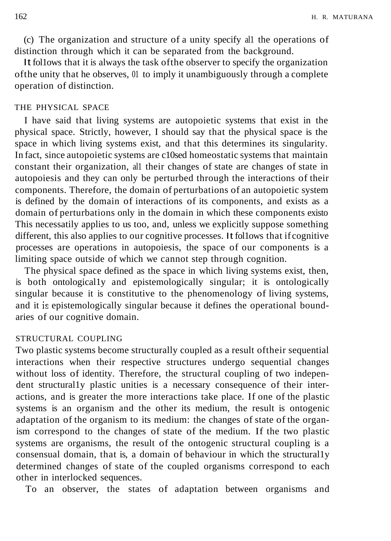(c) The organization and structure of a unity specify al1 the operations of distinction through which it can be separated from the background.

It fol1ows that it is always the task ofthe observer to specify the organization ofthe unity that he observes, 01 to imply it unambiguously through a complete operation of distinction.

### THE PHYSICAL SPACE

I have said that living systems are autopoietic systems that exist in the physical space. Strictly, however, I should say that the physical space is the space in which living systems exist, and that this determines its singularity. In fact, since autopoietic systems are c10sed homeostatic systems that maintain constant their organization, al1 their changes of state are changes of state in autopoiesis and they can only be perturbed through the interactions of their components. Therefore, the domain of perturbations of an autopoietic system is defined by the domain of interactions of its components, and exists as a domain of perturbations only in the domain in which these components existo This necessatily applies to us too, and, unless we explicitly suppose something different, this also applies to our cognitive processes. It fol1ows that if cognitive processes are operations in autopoiesis, the space of our components is a limiting space outside of which we cannot step through cognition.

The physical space defined as the space in which living systems exist, then, is both ontological1y and epistemologically singular; it is ontologically singular because it is constitutive to the phenomenology of living systems, and it is epistemologically singular because it defines the operational boundaries of our cognitive domain.

### STRUCTURAL COUPLING

Two plastic systems become structurally coupled as a result oftheir sequential interactions when their respective structures undergo sequential changes without loss of identity. Therefore, the structural coupling of two independent structural1y plastic unities is a necessary consequence of their interactions, and is greater the more interactions take place. If one of the plastic systems is an organism and the other its medium, the result is ontogenic adaptation of the organism to its medium: the changes of state of the organism correspond to the changes of state of the medium. If the two plastic systems are organisms, the result of the ontogenic structural coupling is a consensual domain, that is, a domain of behaviour in which the structural1y determined changes of state of the coupled organisms correspond to each other in interlocked sequences.

To an observer, the states of adaptation between organisms and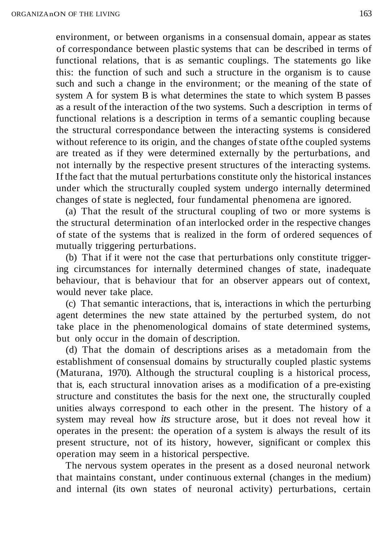environment, or between organisms in a consensual domain, appear as states of correspondance between plastic systems that can be described in terms of functional relations, that is as semantic couplings. The statements go like this: the function of such and such a structure in the organism is to cause such and such a change in the environment; or the meaning of the state of system A for system B is what determines the state to which system B passes as a result of the interaction of the two systems. Such a description in terms of functional relations is a description in terms of a semantic coupling because the structural correspondance between the interacting systems is considered without reference to its origin, and the changes of state of the coupled systems are treated as if they were determined externally by the perturbations, and not internally by the respective present structures of the interacting systems. Ifthe fact that the mutual perturbations constitute only the historical instances under which the structurally coupled system undergo internally determined changes of state is neglected, four fundamental phenomena are ignored.

(a) That the result of the structural coupling of two or more systems is the structural determination of an interlocked order in the respective changes of state of the systems that is realized in the form of ordered sequences of mutually triggering perturbations.

(b) That if it were not the case that perturbations only constitute triggering circumstances for internally determined changes of state, inadequate behaviour, that is behaviour that for an observer appears out of context, would never take place.

(c) That semantic interactions, that is, interactions in which the perturbing agent determines the new state attained by the perturbed system, do not take place in the phenomenological domains of state determined systems, but only occur in the domain of description.

(d) That the domain of descriptions arises as a metadomain from the establishment of consensual domains by structurally coupled plastic systems (Maturana, 1970). Although the structural coupling is a historical process, that is, each structural innovation arises as a modification of a pre-existing structure and constitutes the basis for the next one, the structurally coupled unities always correspond to each other in the present. The history of a system may reveal how *its* structure arose, but it does not reveal how it operates in the present: the operation of a system is always the result of its present structure, not of its history, however, significant or complex this operation may seem in a historical perspective.

The nervous system operates in the present as a dosed neuronal network that maintains constant, under continuous external (changes in the medium) and internal (its own states of neuronal activity) perturbations, certain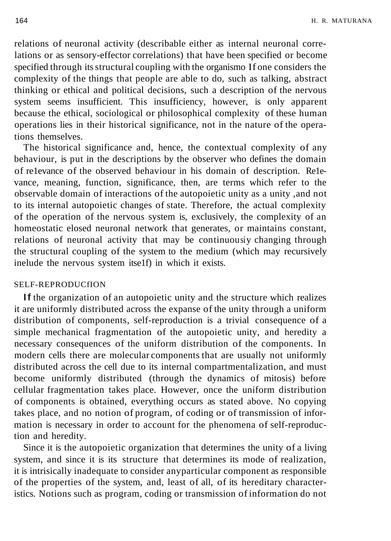relations of neuronal activity (describable either as internal neuronal correlations or as sensory-effector correlations) that have been specified or become specified through itsstructural coupling with the organismo If one considers the complexity of the things that people are able to do, such as talking, abstract thinking or ethical and political decisions, such a description of the nervous system seems insufficient. This insufficiency, however, is only apparent because the ethical, sociological or philosophical complexity of these human operations lies in their historical significance, not in the nature of the operations themselves.

The historical significance and, hence, the contextual complexity of any behaviour, is put in the descriptions by the observer who defines the domain of re1evance of the observed behaviour in his domain of description. Re1evance, meaning, function, significance, then, are terms which refer to the observable domain of interactions of the autopoietic unity as a unity ,and not to its internal autopoietic changes of state. Therefore, the actual complexity of the operation of the nervous system is, exclusively, the complexity of an homeostatic elosed neuronal network that generates, or maintains constant, relations of neuronal activity that may be continuousiy changing through the structural coupling of the system to the medium (which may recursively inelude the nervous system itse1f) in which it exists.

# SELF-REPRODUCfION

If the organization of an autopoietic unity and the structure which realizes it are uniformly distributed across the expanse of the unity through a uniform distribution of components, self-reproduction is a trivial consequence of a simple mechanical fragmentation of the autopoietic unity, and heredity a necessary consequences of the uniform distribution of the components. In modern cells there are molecular components that are usually not uniformly distributed across the cell due to its internal compartmentalization, and must become uniformly distributed (through the dynamics of mitosis) before cellular fragmentation takes place. However, once the uniform distribution of components is obtained, everything occurs as stated above. No copying takes place, and no notion of program, of coding or of transmission of information is necessary in order to account for the phenomena of self-reproduction and heredity.

Since it is the autopoietic organization that determines the unity of a living system, and since it is its structure that determines its mode of realization, it is intrisically inadequate to consider anyparticular component as responsible of the properties of the system, and, least of all, of its hereditary characteristics. Notions such as program, coding or transmission of information do not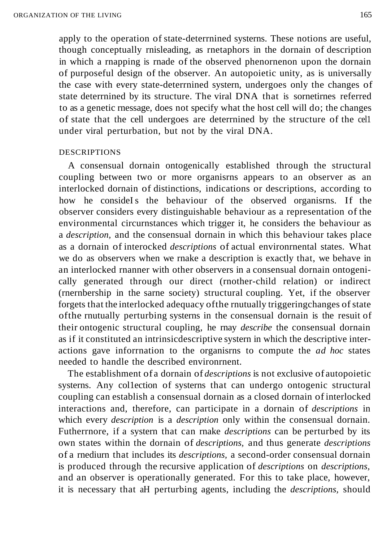apply to the operation of state-deterrnined systerns. These notions are useful, though conceptually rnisleading, as rnetaphors in the dornain of description in which a rnapping is rnade of the observed phenornenon upon the dornain of purposeful design of the observer. An autopoietic unity, as is universally the case with every state-deterrnined systern, undergoes only the changes of state deterrnined by its structure. The viral DNA that is sornetirnes referred to as a genetic rnessage, does not specify what the host cell will do; the changes of state that the cell undergoes are deterrnined by the structure of the cel1 under viral perturbation, but not by the viral DNA.

### **DESCRIPTIONS**

A consensual dornain ontogenically established through the structural coupling between two or more organisrns appears to an observer as an interlocked dornain of distinctions, indications or descriptions, according to how he considels the behaviour of the observed organisms. If the observer considers every distinguishable behaviour as a representation of the environmental circurnstances which trigger it, he considers the behaviour as a *description,* and the consensual dornain in which this behaviour takes place as a dornain of interocked *descriptions* of actual environrnental states. What we do as observers when we rnake a description is exactly that, we behave in an interlocked rnanner with other observers in a consensual dornain ontogenically generated through our direct (rnother-child relation) or indirect (rnernbership in the sarne society) structural coupling. Yet, if the observer forgets that the interlocked adequacy of the rnutually triggering changes of state ofthe rnutually perturbing systerns in the consensual dornain is the resuit of their ontogenic structural coupling, he rnay *describe* the consensual dornain as if it constituted an intrinsicdescriptive systern in which the descriptive interactions gave inforrnation to the organisrns to compute the *ad hoc* states needed to handle the described environrnent.

The establishment of a dornain of *descriptions* is not exclusive of autopoietic systerns. Any col1ection of systerns that can undergo ontogenic structural coupling can establish a consensual dornain as a closed dornain ofinterlocked interactions and, therefore, can participate in a dornain of *descriptions* in which every *description* is a *description* only within the consensual dornain. Futherrnore, if a systern that can rnake *descriptions* can be perturbed by its own states within the dornain of *descriptions,* and thus generate *descriptions* of a rnediurn that includes its *descriptions,* a second-order consensual dornain is produced through the recursive application of *descriptions* on *descriptions,* and an observer is operationally generated. For this to take place, however, it is necessary that aH perturbing agents, including the *descriptions,* should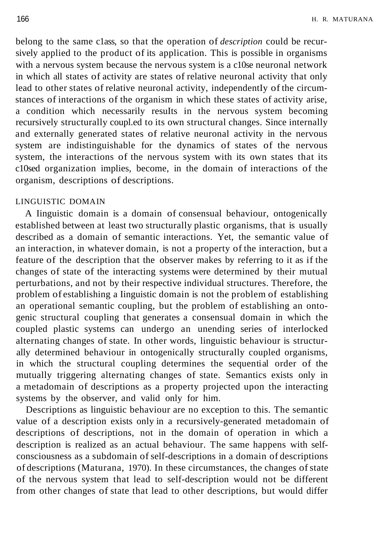belong to the same c1ass, so that the operation of *description* could be recursively applied to the product of its application. This is possible in organisms with a nervous system because the nervous system is a c10se neuronal network in which all states of activity are states of relative neuronal activity that only lead to other states of relative neuronal activity, independentIy of the circumstances of interactions of the organism in which these states of activity arise, a condition which necessarily resuIts in the nervous system becoming recursively structurally coupl.ed to its own structural changes. Since internally and externally generated states of relative neuronal activity in the nervous system are indistinguishable for the dynamics of states of the nervous system, the interactions of the nervous system with its own states that its c10sed organization implies, become, in the domain of interactions of the organism, descriptions of descriptions.

# LINGUISTIC DOMAIN

A Iinguistic domain is a domain of consensual behaviour, ontogenically established between at least two structurally plastic organisms, that is usually described as a domain of semantic interactions. Yet, the semantic value of an interaction, in whatever domain, is not a property of the interaction, but a feature of the description that the observer makes by referring to it as if the changes of state of the interacting systems were determined by their mutual perturbations, and not by their respective individual structures. Therefore, the problem of establishing a Iinguistic domain is not the problem of establishing an operational semantic coupling, but the problem of establishing an ontogenic structural coupling that generates a consensual domain in which the coupled plastic systems can undergo an unending series of interlocked alternating changes of state. In other words, linguistic behaviour is structurally determined behaviour in ontogenically structurally coupled organisms, in which the structural coupling determines the sequential order of the mutually triggering alternating changes of state. Semantics exists only in a metadomain of descriptions as a property projected upon the interacting systems by the observer, and valid only for him.

Descriptions as linguistic behaviour are no exception to this. The semantic value of a description exists only in a recursively-generated metadomain of descriptions of descriptions, not in the domain of operation in which a description is realized as an actual behaviour. The same happens with selfconsciousness as a subdomain of self-descriptions in a domain of descriptions of descriptions (Maturana, 1970). In these circumstances, the changes ofstate of the nervous system that lead to self-description would not be different from other changes of state that lead to other descriptions, but would differ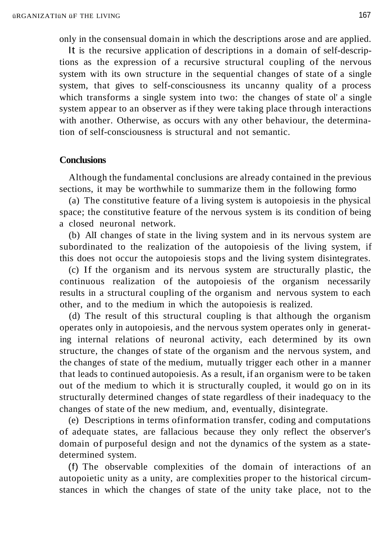only in the consensual domain in which the descriptions arose and are applied.

It is the recursive application of descriptions in a domain of self-descriptions as the expression of a recursive structural coupling of the nervous system with its own structure in the sequential changes of state of a single system, that gives to self-consciousness its uncanny quality of a process which transforms a single system into two: the changes of state ol' a single system appear to an observer as if they were taking place through interactions with another. Otherwise, as occurs with any other behaviour, the determination of self-consciousness is structural and not semantic.

## **Conclusions**

Although the fundamental conclusions are already contained in the previous sections, it may be worthwhile to summarize them in the following formo

(a) The constitutive feature of a living system is autopoiesis in the physical space; the constitutive feature of the nervous system is its condition of being a closed neuronal network.

(b) AlI changes of state in the living system and in its nervous system are subordinated to the realization of the autopoiesis of the living system, if this does not occur the autopoiesis stops and the living system disintegrates.

(c) If the organism and its nervous system are structurally plastic, the continuous realization of the autopoiesis of the organism necessarily results in a structural coupling of the organism and nervous system to each other, and to the medium in which the autopoiesis is realized.

(d) The result of this structural coupling is that although the organism operates only in autopoiesis, and the nervous system operates only in generating internal relations of neuronal activity, each determined by its own structure, the changes of state of the organism and the nervous system, and the changes of state of the medium, mutually trigger each other in a manner that leads to continued autopoiesis. As a result, if an organism were to be taken out of the medium to which it is structurally coupled, it would go on in its structurally determined changes of state regardless of their inadequacy to the changes of state of the new medium, and, eventually, disintegrate.

(e) Descriptions in terms ofinformation transfer, coding and computations of adequate states, are fallacious because they only reflect the observer's domain of purposeful design and not the dynamics of the system as a statedetermined system.

(f) The observable complexities of the domain of interactions of an autopoietic unity as a unity, are complexities proper to the historical circumstances in which the changes of state of the unity take place, not to the